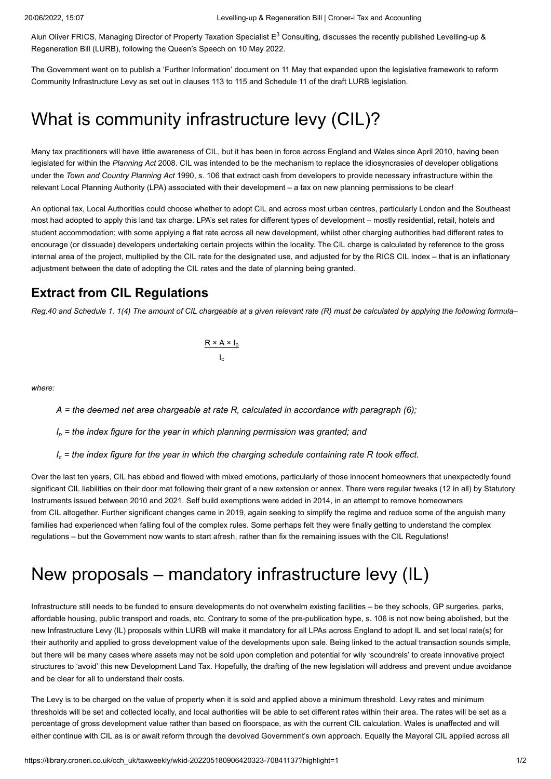Alun Oliver FRICS, Managing Director of Property Taxation Specialist E $^3$  Consulting, discusses the recently published Levelling-up & Regeneration Bill (LURB), following the Queen's Speech on 10 May 2022.

The Government went on to publish a 'Further Information' document on 11 May that expanded upon the legislative framework to reform Community Infrastructure Levy as set out in clauses 113 to 115 and Schedule 11 of the draft LURB legislation.

# What is community infrastructure levy (CIL)?

Many tax practitioners will have little awareness of CIL, but it has been in force across England and Wales since April 2010, having been legislated for within the *Planning Act* 2008. CIL was intended to be the mechanism to replace the idiosyncrasies of developer obligations under the *Town and Country Planning Act* 1990, s. 106 that extract cash from developers to provide necessary infrastructure within the relevant Local Planning Authority (LPA) associated with their development – a tax on new planning permissions to be clear!

An optional tax, Local Authorities could choose whether to adopt CIL and across most urban centres, particularly London and the Southeast most had adopted to apply this land tax charge. LPA's set rates for different types of development – mostly residential, retail, hotels and student accommodation; with some applying a flat rate across all new development, whilst other charging authorities had different rates to encourage (or dissuade) developers undertaking certain projects within the locality. The CIL charge is calculated by reference to the gross internal area of the project, multiplied by the CIL rate for the designated use, and adjusted for by the RICS CIL Index – that is an inflationary adjustment between the date of adopting the CIL rates and the date of planning being granted.

#### **Extract from CIL Regulations**

*Reg.40 and Schedule 1. 1(4) The amount of CIL chargeable at a given relevant rate (R) must be calculated by applying the following formula–*

 $R \times A \times I_p$  $I_c$ 

*where:*

*A = the deemed net area chargeable at rate R, calculated in accordance with paragraph (6);*

*I<sup>p</sup> = the index figure for the year in which planning permission was granted; and*

 $I_c$  = the index figure for the year in which the charging schedule containing rate R took effect.

Over the last ten years, CIL has ebbed and flowed with mixed emotions, particularly of those innocent homeowners that unexpectedly found significant CIL liabilities on their door mat following their grant of a new extension or annex. There were regular tweaks (12 in all) by Statutory Instruments issued between 2010 and 2021. Self build exemptions were added in 2014, in an attempt to remove homeowners from CIL altogether. Further significant changes came in 2019, again seeking to simplify the regime and reduce some of the anguish many families had experienced when falling foul of the complex rules. Some perhaps felt they were finally getting to understand the complex regulations – but the Government now wants to start afresh, rather than fix the remaining issues with the CIL Regulations!

# New proposals – mandatory infrastructure levy (IL)

Infrastructure still needs to be funded to ensure developments do not overwhelm existing facilities – be they schools, GP surgeries, parks, affordable housing, public transport and roads, etc. Contrary to some of the pre-publication hype, s. 106 is not now being abolished, but the new Infrastructure Levy (IL) proposals within LURB will make it mandatory for all LPAs across England to adopt IL and set local rate(s) for their authority and applied to gross development value of the developments upon sale. Being linked to the actual transaction sounds simple, but there will be many cases where assets may not be sold upon completion and potential for wily 'scoundrels' to create innovative project structures to 'avoid' this new Development Land Tax. Hopefully, the drafting of the new legislation will address and prevent undue avoidance and be clear for all to understand their costs.

The Levy is to be charged on the value of property when it is sold and applied above a minimum threshold. Levy rates and minimum thresholds will be set and collected locally, and local authorities will be able to set different rates within their area. The rates will be set as a percentage of gross development value rather than based on floorspace, as with the current CIL calculation. Wales is unaffected and will either continue with CIL as is or await reform through the devolved Government's own approach. Equally the Mayoral CIL applied across all